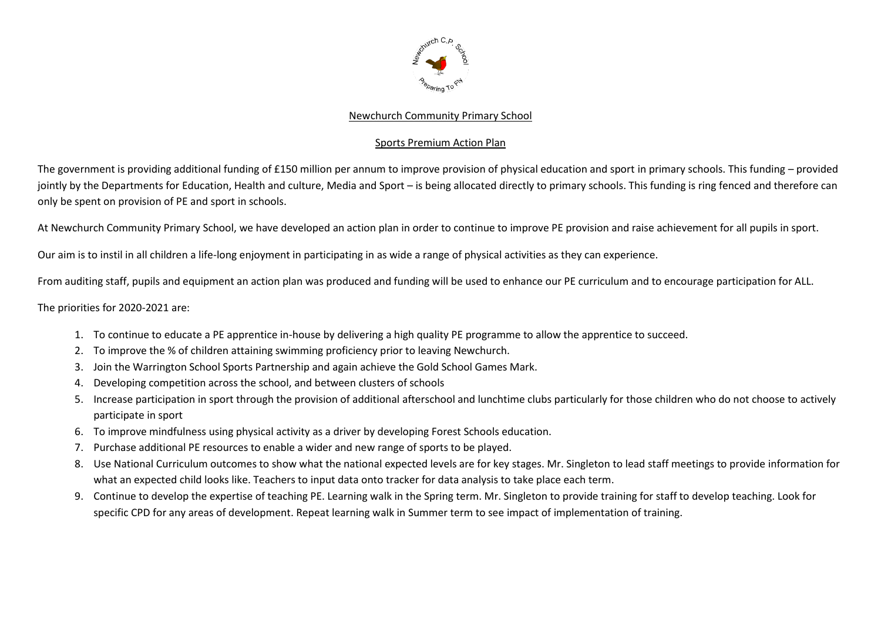

## Newchurch Community Primary School

## Sports Premium Action Plan

The government is providing additional funding of £150 million per annum to improve provision of physical education and sport in primary schools. This funding – provided jointly by the Departments for Education, Health and culture, Media and Sport – is being allocated directly to primary schools. This funding is ring fenced and therefore can only be spent on provision of PE and sport in schools.

At Newchurch Community Primary School, we have developed an action plan in order to continue to improve PE provision and raise achievement for all pupils in sport.

Our aim is to instil in all children a life-long enjoyment in participating in as wide a range of physical activities as they can experience.

From auditing staff, pupils and equipment an action plan was produced and funding will be used to enhance our PE curriculum and to encourage participation for ALL.

The priorities for 2020-2021 are:

- 1. To continue to educate a PE apprentice in-house by delivering a high quality PE programme to allow the apprentice to succeed.
- 2. To improve the % of children attaining swimming proficiency prior to leaving Newchurch.
- 3. Join the Warrington School Sports Partnership and again achieve the Gold School Games Mark.
- 4. Developing competition across the school, and between clusters of schools
- 5. Increase participation in sport through the provision of additional afterschool and lunchtime clubs particularly for those children who do not choose to actively participate in sport
- 6. To improve mindfulness using physical activity as a driver by developing Forest Schools education.
- 7. Purchase additional PE resources to enable a wider and new range of sports to be played.
- 8. Use National Curriculum outcomes to show what the national expected levels are for key stages. Mr. Singleton to lead staff meetings to provide information for what an expected child looks like. Teachers to input data onto tracker for data analysis to take place each term.
- 9. Continue to develop the expertise of teaching PE. Learning walk in the Spring term. Mr. Singleton to provide training for staff to develop teaching. Look for specific CPD for any areas of development. Repeat learning walk in Summer term to see impact of implementation of training.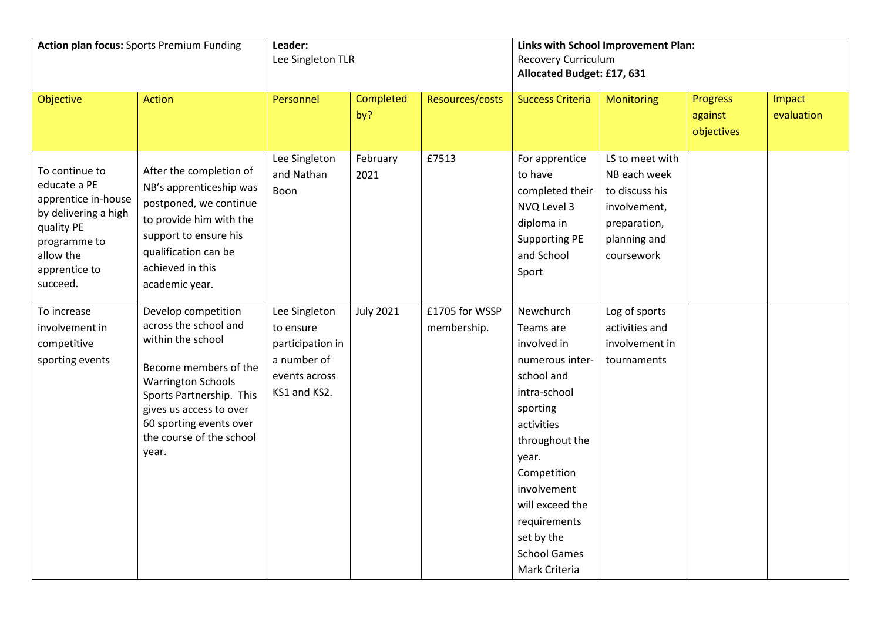| <b>Action plan focus:</b> Sports Premium Funding                                                                                                      |                                                                                                                                                                                                                                                | Leader:<br>Lee Singleton TLR                                                                   |                  |                               | Links with School Improvement Plan:<br><b>Recovery Curriculum</b><br>Allocated Budget: £17, 631                                                                                                                                                                    |                                                                                                                 |                                          |                      |
|-------------------------------------------------------------------------------------------------------------------------------------------------------|------------------------------------------------------------------------------------------------------------------------------------------------------------------------------------------------------------------------------------------------|------------------------------------------------------------------------------------------------|------------------|-------------------------------|--------------------------------------------------------------------------------------------------------------------------------------------------------------------------------------------------------------------------------------------------------------------|-----------------------------------------------------------------------------------------------------------------|------------------------------------------|----------------------|
| Objective                                                                                                                                             | <b>Action</b>                                                                                                                                                                                                                                  | Personnel                                                                                      | Completed<br>by? | Resources/costs               | <b>Success Criteria</b>                                                                                                                                                                                                                                            | <b>Monitoring</b>                                                                                               | <b>Progress</b><br>against<br>objectives | Impact<br>evaluation |
| To continue to<br>educate a PE<br>apprentice in-house<br>by delivering a high<br>quality PE<br>programme to<br>allow the<br>apprentice to<br>succeed. | After the completion of<br>NB's apprenticeship was<br>postponed, we continue<br>to provide him with the<br>support to ensure his<br>qualification can be<br>achieved in this<br>academic year.                                                 | Lee Singleton<br>and Nathan<br>Boon                                                            | February<br>2021 | £7513                         | For apprentice<br>to have<br>completed their<br>NVQ Level 3<br>diploma in<br><b>Supporting PE</b><br>and School<br>Sport                                                                                                                                           | LS to meet with<br>NB each week<br>to discuss his<br>involvement,<br>preparation,<br>planning and<br>coursework |                                          |                      |
| To increase<br>involvement in<br>competitive<br>sporting events                                                                                       | Develop competition<br>across the school and<br>within the school<br>Become members of the<br><b>Warrington Schools</b><br>Sports Partnership. This<br>gives us access to over<br>60 sporting events over<br>the course of the school<br>year. | Lee Singleton<br>to ensure<br>participation in<br>a number of<br>events across<br>KS1 and KS2. | <b>July 2021</b> | £1705 for WSSP<br>membership. | Newchurch<br>Teams are<br>involved in<br>numerous inter-<br>school and<br>intra-school<br>sporting<br>activities<br>throughout the<br>year.<br>Competition<br>involvement<br>will exceed the<br>requirements<br>set by the<br><b>School Games</b><br>Mark Criteria | Log of sports<br>activities and<br>involvement in<br>tournaments                                                |                                          |                      |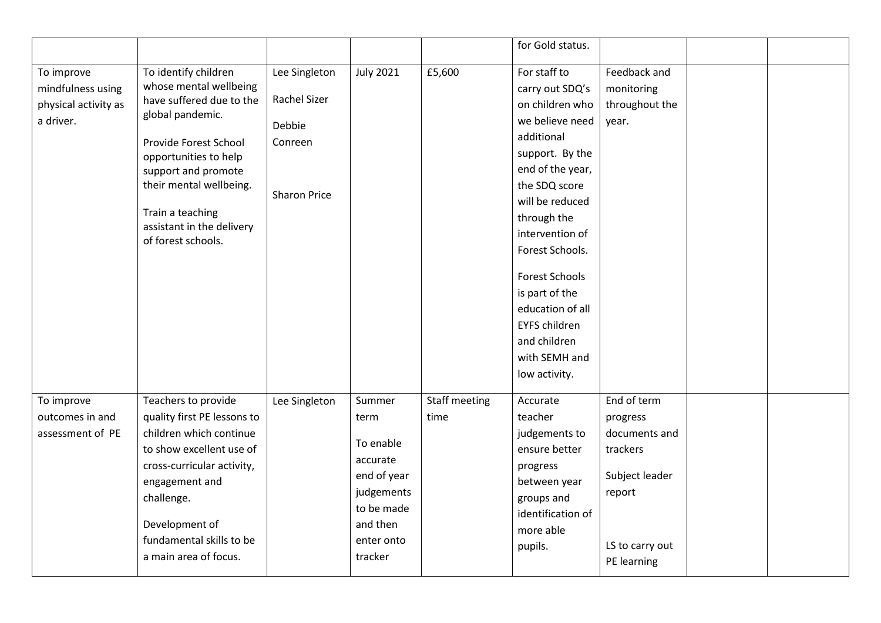|                                                                      |                                                                                                                                                                                                                                                                           |                                                                           |                                                                                                                         |                       | for Gold status.                                                                                                                                                                                                                                                                                                                                             |                                                                                                                    |  |
|----------------------------------------------------------------------|---------------------------------------------------------------------------------------------------------------------------------------------------------------------------------------------------------------------------------------------------------------------------|---------------------------------------------------------------------------|-------------------------------------------------------------------------------------------------------------------------|-----------------------|--------------------------------------------------------------------------------------------------------------------------------------------------------------------------------------------------------------------------------------------------------------------------------------------------------------------------------------------------------------|--------------------------------------------------------------------------------------------------------------------|--|
| To improve<br>mindfulness using<br>physical activity as<br>a driver. | To identify children<br>whose mental wellbeing<br>have suffered due to the<br>global pandemic.<br>Provide Forest School<br>opportunities to help<br>support and promote<br>their mental wellbeing.<br>Train a teaching<br>assistant in the delivery<br>of forest schools. | Lee Singleton<br>Rachel Sizer<br>Debbie<br>Conreen<br><b>Sharon Price</b> | <b>July 2021</b>                                                                                                        | £5,600                | For staff to<br>carry out SDQ's<br>on children who<br>we believe need<br>additional<br>support. By the<br>end of the year,<br>the SDQ score<br>will be reduced<br>through the<br>intervention of<br>Forest Schools.<br><b>Forest Schools</b><br>is part of the<br>education of all<br><b>EYFS children</b><br>and children<br>with SEMH and<br>low activity. | Feedback and<br>monitoring<br>throughout the<br>year.                                                              |  |
| To improve<br>outcomes in and<br>assessment of PE                    | Teachers to provide<br>quality first PE lessons to<br>children which continue<br>to show excellent use of<br>cross-curricular activity,<br>engagement and<br>challenge.<br>Development of<br>fundamental skills to be<br>a main area of focus.                            | Lee Singleton                                                             | Summer<br>term<br>To enable<br>accurate<br>end of year<br>judgements<br>to be made<br>and then<br>enter onto<br>tracker | Staff meeting<br>time | Accurate<br>teacher<br>judgements to<br>ensure better<br>progress<br>between year<br>groups and<br>identification of<br>more able<br>pupils.                                                                                                                                                                                                                 | End of term<br>progress<br>documents and<br>trackers<br>Subject leader<br>report<br>LS to carry out<br>PE learning |  |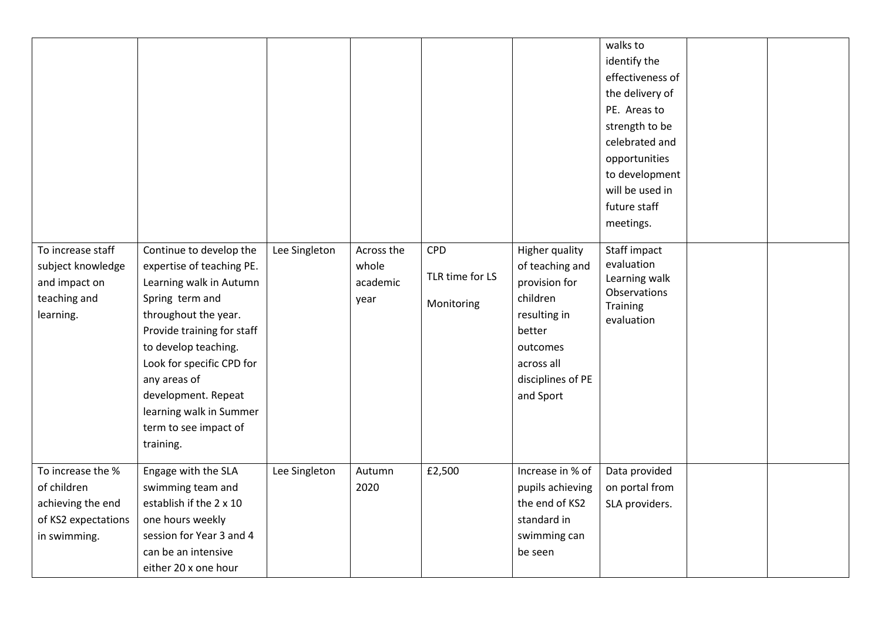| To increase staff<br>subject knowledge<br>and impact on<br>teaching and<br>learning.         | Continue to develop the<br>expertise of teaching PE.<br>Learning walk in Autumn<br>Spring term and<br>throughout the year.<br>Provide training for staff<br>to develop teaching.<br>Look for specific CPD for<br>any areas of<br>development. Repeat<br>learning walk in Summer<br>term to see impact of<br>training. | Lee Singleton | Across the<br>whole<br>academic<br>year | <b>CPD</b><br>TLR time for LS<br>Monitoring | <b>Higher quality</b><br>of teaching and<br>provision for<br>children<br>resulting in<br>better<br>outcomes<br>across all<br>disciplines of PE<br>and Sport | walks to<br>identify the<br>effectiveness of<br>the delivery of<br>PE. Areas to<br>strength to be<br>celebrated and<br>opportunities<br>to development<br>will be used in<br>future staff<br>meetings.<br>Staff impact<br>evaluation<br>Learning walk<br>Observations<br><b>Training</b><br>evaluation |  |
|----------------------------------------------------------------------------------------------|-----------------------------------------------------------------------------------------------------------------------------------------------------------------------------------------------------------------------------------------------------------------------------------------------------------------------|---------------|-----------------------------------------|---------------------------------------------|-------------------------------------------------------------------------------------------------------------------------------------------------------------|--------------------------------------------------------------------------------------------------------------------------------------------------------------------------------------------------------------------------------------------------------------------------------------------------------|--|
| To increase the %<br>of children<br>achieving the end<br>of KS2 expectations<br>in swimming. | Engage with the SLA<br>swimming team and<br>establish if the 2 x 10<br>one hours weekly<br>session for Year 3 and 4<br>can be an intensive<br>either 20 x one hour                                                                                                                                                    | Lee Singleton | Autumn<br>2020                          | £2,500                                      | Increase in % of<br>pupils achieving<br>the end of KS2<br>standard in<br>swimming can<br>be seen                                                            | Data provided<br>on portal from<br>SLA providers.                                                                                                                                                                                                                                                      |  |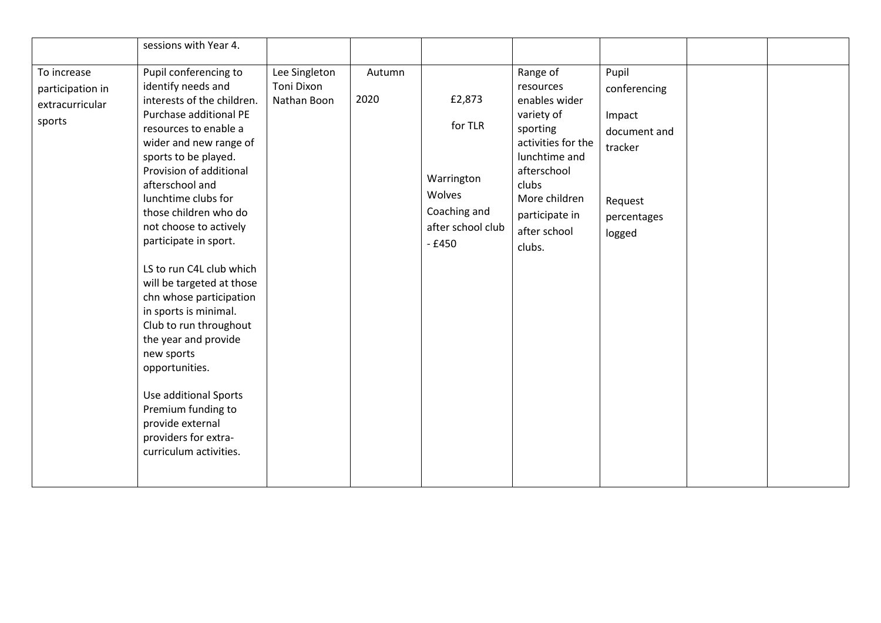|                                                              | sessions with Year 4.                                                                                                                                                                                                                                                                                                                                                                                                                                                                                                                                                                                                                               |                                            |                |                                                                                           |                                                                                                                                                                                              |                                                                                                |  |
|--------------------------------------------------------------|-----------------------------------------------------------------------------------------------------------------------------------------------------------------------------------------------------------------------------------------------------------------------------------------------------------------------------------------------------------------------------------------------------------------------------------------------------------------------------------------------------------------------------------------------------------------------------------------------------------------------------------------------------|--------------------------------------------|----------------|-------------------------------------------------------------------------------------------|----------------------------------------------------------------------------------------------------------------------------------------------------------------------------------------------|------------------------------------------------------------------------------------------------|--|
| To increase<br>participation in<br>extracurricular<br>sports | Pupil conferencing to<br>identify needs and<br>interests of the children.<br>Purchase additional PE<br>resources to enable a<br>wider and new range of<br>sports to be played.<br>Provision of additional<br>afterschool and<br>lunchtime clubs for<br>those children who do<br>not choose to actively<br>participate in sport.<br>LS to run C4L club which<br>will be targeted at those<br>chn whose participation<br>in sports is minimal.<br>Club to run throughout<br>the year and provide<br>new sports<br>opportunities.<br>Use additional Sports<br>Premium funding to<br>provide external<br>providers for extra-<br>curriculum activities. | Lee Singleton<br>Toni Dixon<br>Nathan Boon | Autumn<br>2020 | £2,873<br>for TLR<br>Warrington<br>Wolves<br>Coaching and<br>after school club<br>$-£450$ | Range of<br>resources<br>enables wider<br>variety of<br>sporting<br>activities for the<br>lunchtime and<br>afterschool<br>clubs<br>More children<br>participate in<br>after school<br>clubs. | Pupil<br>conferencing<br>Impact<br>document and<br>tracker<br>Request<br>percentages<br>logged |  |